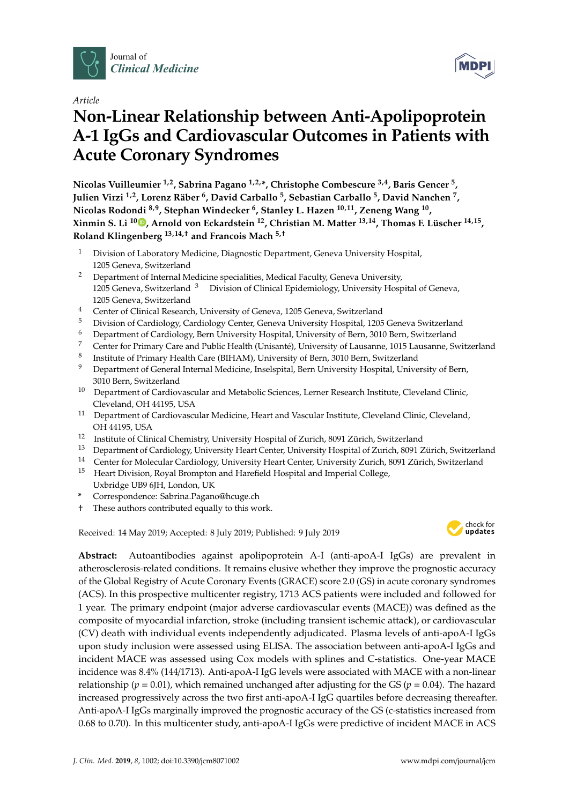

*Article*

# **Non-Linear Relationship between Anti-Apolipoprotein A-1 IgGs and Cardiovascular Outcomes in Patients with Acute Coronary Syndromes**

**Nicolas Vuilleumier 1,2, Sabrina Pagano 1,2,\*, Christophe Combescure 3,4, Baris Gencer <sup>5</sup> , Julien Virzi 1,2, Lorenz Räber <sup>6</sup> , David Carballo <sup>5</sup> , Sebastian Carballo <sup>5</sup> , David Nanchen <sup>7</sup> , Nicolas Rodondi 8,9, Stephan Windecker <sup>6</sup> , Stanley L. Hazen 10,11, Zeneng Wang <sup>10</sup> , Xinmin S. Li <sup>10</sup> [,](https://orcid.org/0000-0003-4946-4271) Arnold von Eckardstein <sup>12</sup>, Christian M. Matter 13,14, Thomas F. Lüscher 14,15 , Roland Klingenberg 13,14,**† **and Francois Mach 5,**†

- <sup>1</sup> Division of Laboratory Medicine, Diagnostic Department, Geneva University Hospital, 1205 Geneva, Switzerland
- <sup>2</sup> Department of Internal Medicine specialities, Medical Faculty, Geneva University, 1205 Geneva, Switzerland <sup>3</sup> Division of Clinical Epidemiology, University Hospital of Geneva, 1205 Geneva, Switzerland
- <sup>4</sup> Center of Clinical Research, University of Geneva, 1205 Geneva, Switzerland
- <sup>5</sup> Division of Cardiology, Cardiology Center, Geneva University Hospital, 1205 Geneva Switzerland
- <sup>6</sup> Department of Cardiology, Bern University Hospital, University of Bern, 3010 Bern, Switzerland
- <sup>7</sup> Center for Primary Care and Public Health (Unisanté), University of Lausanne, 1015 Lausanne, Switzerland
- 8 Institute of Primary Health Care (BIHAM), University of Bern, 3010 Bern, Switzerland
- <sup>9</sup> Department of General Internal Medicine, Inselspital, Bern University Hospital, University of Bern, 3010 Bern, Switzerland
- <sup>10</sup> Department of Cardiovascular and Metabolic Sciences, Lerner Research Institute, Cleveland Clinic, Cleveland, OH 44195, USA
- <sup>11</sup> Department of Cardiovascular Medicine, Heart and Vascular Institute, Cleveland Clinic, Cleveland, OH 44195, USA
- <sup>12</sup> Institute of Clinical Chemistry, University Hospital of Zurich, 8091 Zürich, Switzerland
- <sup>13</sup> Department of Cardiology, University Heart Center, University Hospital of Zurich, 8091 Zürich, Switzerland
- <sup>14</sup> Center for Molecular Cardiology, University Heart Center, University Zurich, 8091 Zürich, Switzerland
- <sup>15</sup> Heart Division, Royal Brompton and Harefield Hospital and Imperial College, Uxbridge UB9 6JH, London, UK
- **\*** Correspondence: Sabrina.Pagano@hcuge.ch
- † These authors contributed equally to this work.

Received: 14 May 2019; Accepted: 8 July 2019; Published: 9 July 2019



**Abstract:** Autoantibodies against apolipoprotein A-I (anti-apoA-I IgGs) are prevalent in atherosclerosis-related conditions. It remains elusive whether they improve the prognostic accuracy of the Global Registry of Acute Coronary Events (GRACE) score 2.0 (GS) in acute coronary syndromes (ACS). In this prospective multicenter registry, 1713 ACS patients were included and followed for 1 year. The primary endpoint (major adverse cardiovascular events (MACE)) was defined as the composite of myocardial infarction, stroke (including transient ischemic attack), or cardiovascular (CV) death with individual events independently adjudicated. Plasma levels of anti-apoA-I IgGs upon study inclusion were assessed using ELISA. The association between anti-apoA-I IgGs and incident MACE was assessed using Cox models with splines and C-statistics. One-year MACE incidence was 8.4% (144/1713). Anti-apoA-I IgG levels were associated with MACE with a non-linear relationship ( $p = 0.01$ ), which remained unchanged after adjusting for the GS ( $p = 0.04$ ). The hazard increased progressively across the two first anti-apoA-I IgG quartiles before decreasing thereafter. Anti-apoA-I IgGs marginally improved the prognostic accuracy of the GS (c-statistics increased from 0.68 to 0.70). In this multicenter study, anti-apoA-I IgGs were predictive of incident MACE in ACS

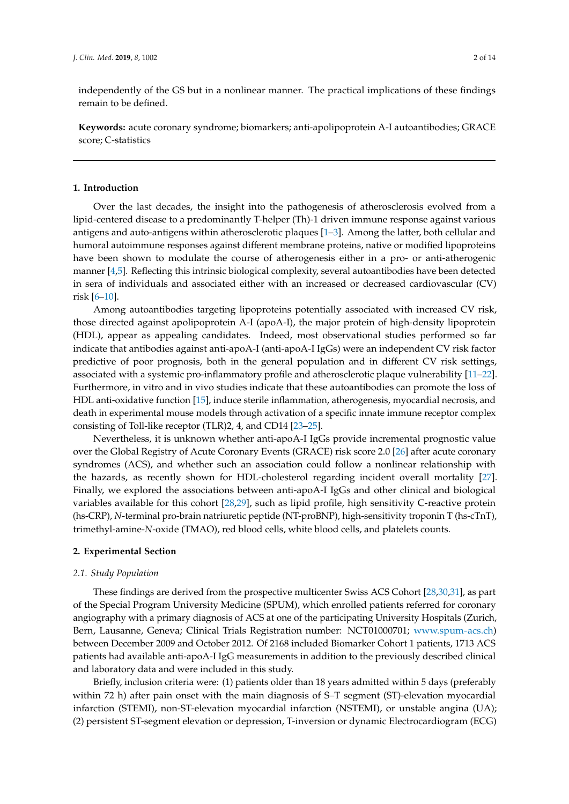independently of the GS but in a nonlinear manner. The practical implications of these findings remain to be defined.

**Keywords:** acute coronary syndrome; biomarkers; anti-apolipoprotein A-I autoantibodies; GRACE score; C-statistics

# **1. Introduction**

Over the last decades, the insight into the pathogenesis of atherosclerosis evolved from a lipid-centered disease to a predominantly T-helper (Th)-1 driven immune response against various antigens and auto-antigens within atherosclerotic plaques [\[1–](#page-11-0)[3\]](#page-11-1). Among the latter, both cellular and humoral autoimmune responses against different membrane proteins, native or modified lipoproteins have been shown to modulate the course of atherogenesis either in a pro- or anti-atherogenic manner [\[4,](#page-11-2)[5\]](#page-11-3). Reflecting this intrinsic biological complexity, several autoantibodies have been detected in sera of individuals and associated either with an increased or decreased cardiovascular (CV) risk [\[6–](#page-12-0)[10\]](#page-12-1).

Among autoantibodies targeting lipoproteins potentially associated with increased CV risk, those directed against apolipoprotein A-I (apoA-I), the major protein of high-density lipoprotein (HDL), appear as appealing candidates. Indeed, most observational studies performed so far indicate that antibodies against anti-apoA-I (anti-apoA-I IgGs) were an independent CV risk factor predictive of poor prognosis, both in the general population and in different CV risk settings, associated with a systemic pro-inflammatory profile and atherosclerotic plaque vulnerability [\[11–](#page-12-2)[22\]](#page-12-3). Furthermore, in vitro and in vivo studies indicate that these autoantibodies can promote the loss of HDL anti-oxidative function [\[15\]](#page-12-4), induce sterile inflammation, atherogenesis, myocardial necrosis, and death in experimental mouse models through activation of a specific innate immune receptor complex consisting of Toll-like receptor (TLR)2, 4, and CD14 [\[23](#page-13-0)[–25\]](#page-13-1).

Nevertheless, it is unknown whether anti-apoA-I IgGs provide incremental prognostic value over the Global Registry of Acute Coronary Events (GRACE) risk score 2.0 [\[26\]](#page-13-2) after acute coronary syndromes (ACS), and whether such an association could follow a nonlinear relationship with the hazards, as recently shown for HDL-cholesterol regarding incident overall mortality [\[27\]](#page-13-3). Finally, we explored the associations between anti-apoA-I IgGs and other clinical and biological variables available for this cohort [\[28](#page-13-4)[,29\]](#page-13-5), such as lipid profile, high sensitivity C-reactive protein (hs-CRP), *N*-terminal pro-brain natriuretic peptide (NT-proBNP), high-sensitivity troponin T (hs-cTnT), trimethyl-amine-*N*-oxide (TMAO), red blood cells, white blood cells, and platelets counts.

## **2. Experimental Section**

## *2.1. Study Population*

These findings are derived from the prospective multicenter Swiss ACS Cohort [\[28,](#page-13-4)[30,](#page-13-6)[31\]](#page-13-7), as part of the Special Program University Medicine (SPUM), which enrolled patients referred for coronary angiography with a primary diagnosis of ACS at one of the participating University Hospitals (Zurich, Bern, Lausanne, Geneva; Clinical Trials Registration number: NCT01000701; [www.spum-acs.ch\)](www.spum-acs.ch) between December 2009 and October 2012. Of 2168 included Biomarker Cohort 1 patients, 1713 ACS patients had available anti-apoA-I IgG measurements in addition to the previously described clinical and laboratory data and were included in this study.

Briefly, inclusion criteria were: (1) patients older than 18 years admitted within 5 days (preferably within 72 h) after pain onset with the main diagnosis of S–T segment (ST)-elevation myocardial infarction (STEMI), non-ST-elevation myocardial infarction (NSTEMI), or unstable angina (UA); (2) persistent ST-segment elevation or depression, T-inversion or dynamic Electrocardiogram (ECG)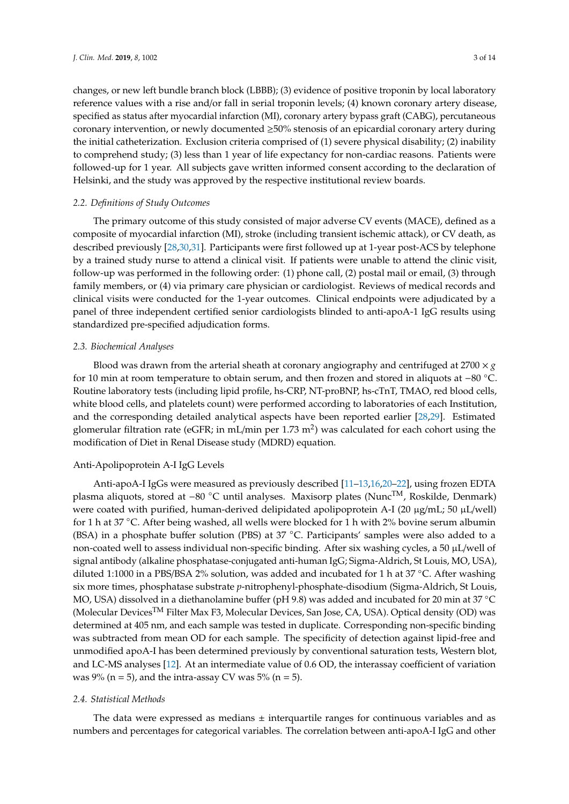changes, or new left bundle branch block (LBBB); (3) evidence of positive troponin by local laboratory reference values with a rise and/or fall in serial troponin levels; (4) known coronary artery disease, specified as status after myocardial infarction (MI), coronary artery bypass graft (CABG), percutaneous coronary intervention, or newly documented ≥50% stenosis of an epicardial coronary artery during the initial catheterization. Exclusion criteria comprised of (1) severe physical disability; (2) inability to comprehend study; (3) less than 1 year of life expectancy for non-cardiac reasons. Patients were followed-up for 1 year. All subjects gave written informed consent according to the declaration of Helsinki, and the study was approved by the respective institutional review boards.

## *2.2. Definitions of Study Outcomes*

The primary outcome of this study consisted of major adverse CV events (MACE), defined as a composite of myocardial infarction (MI), stroke (including transient ischemic attack), or CV death, as described previously [\[28,](#page-13-4)[30,](#page-13-6)[31\]](#page-13-7). Participants were first followed up at 1-year post-ACS by telephone by a trained study nurse to attend a clinical visit. If patients were unable to attend the clinic visit, follow-up was performed in the following order: (1) phone call, (2) postal mail or email, (3) through family members, or (4) via primary care physician or cardiologist. Reviews of medical records and clinical visits were conducted for the 1-year outcomes. Clinical endpoints were adjudicated by a panel of three independent certified senior cardiologists blinded to anti-apoA-1 IgG results using standardized pre-specified adjudication forms.

#### *2.3. Biochemical Analyses*

Blood was drawn from the arterial sheath at coronary angiography and centrifuged at 2700 × *g* for 10 min at room temperature to obtain serum, and then frozen and stored in aliquots at −80 ◦C. Routine laboratory tests (including lipid profile, hs-CRP, NT-proBNP, hs-cTnT, TMAO, red blood cells, white blood cells, and platelets count) were performed according to laboratories of each Institution, and the corresponding detailed analytical aspects have been reported earlier [\[28,](#page-13-4)[29\]](#page-13-5). Estimated glomerular filtration rate (eGFR; in mL/min per 1.73 m<sup>2</sup>) was calculated for each cohort using the modification of Diet in Renal Disease study (MDRD) equation.

#### Anti-Apolipoprotein A-I IgG Levels

Anti-apoA-I IgGs were measured as previously described [\[11](#page-12-2)[–13](#page-12-5)[,16](#page-12-6)[,20](#page-12-7)[–22\]](#page-12-3), using frozen EDTA plasma aliquots, stored at −80 °C until analyses. Maxisorp plates (Nunc<sup>TM</sup>, Roskilde, Denmark) were coated with purified, human-derived delipidated apolipoprotein A-I (20  $\mu$ g/mL; 50  $\mu$ L/well) for 1 h at 37 ℃. After being washed, all wells were blocked for 1 h with 2% bovine serum albumin (BSA) in a phosphate buffer solution (PBS) at 37 ◦C. Participants' samples were also added to a non-coated well to assess individual non-specific binding. After six washing cycles, a 50  $\mu$ L/well of signal antibody (alkaline phosphatase-conjugated anti-human IgG; Sigma-Aldrich, St Louis, MO, USA), diluted 1:1000 in a PBS/BSA 2% solution, was added and incubated for 1 h at 37 ◦C. After washing six more times, phosphatase substrate *p*-nitrophenyl-phosphate-disodium (Sigma-Aldrich, St Louis, MO, USA) dissolved in a diethanolamine buffer (pH 9.8) was added and incubated for 20 min at 37 ◦<sup>C</sup> (Molecular DevicesTM Filter Max F3, Molecular Devices, San Jose, CA, USA). Optical density (OD) was determined at 405 nm, and each sample was tested in duplicate. Corresponding non-specific binding was subtracted from mean OD for each sample. The specificity of detection against lipid-free and unmodified apoA-I has been determined previously by conventional saturation tests, Western blot, and LC-MS analyses [\[12\]](#page-12-8). At an intermediate value of 0.6 OD, the interassay coefficient of variation was  $9\%$  (n = 5), and the intra-assay CV was  $5\%$  (n = 5).

#### *2.4. Statistical Methods*

The data were expressed as medians  $\pm$  interquartile ranges for continuous variables and as numbers and percentages for categorical variables. The correlation between anti-apoA-I IgG and other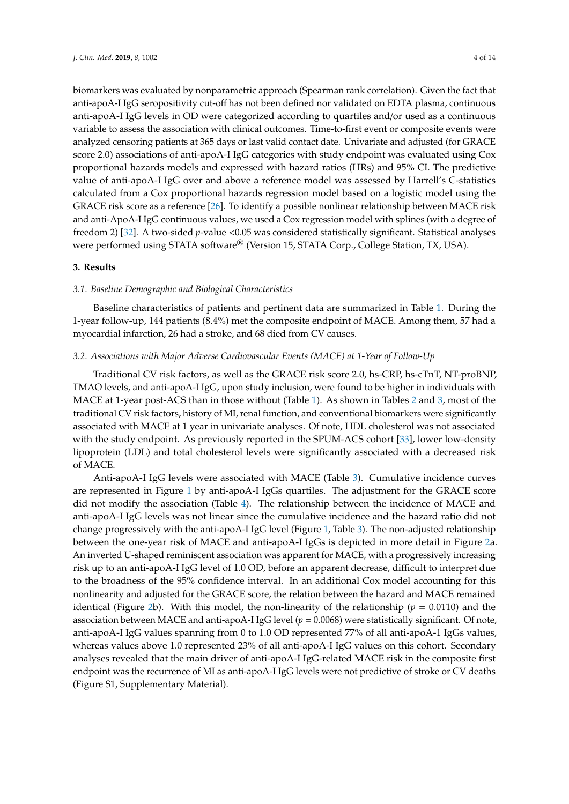biomarkers was evaluated by nonparametric approach (Spearman rank correlation). Given the fact that anti-apoA-I IgG seropositivity cut-off has not been defined nor validated on EDTA plasma, continuous anti-apoA-I IgG levels in OD were categorized according to quartiles and/or used as a continuous variable to assess the association with clinical outcomes. Time-to-first event or composite events were analyzed censoring patients at 365 days or last valid contact date. Univariate and adjusted (for GRACE score 2.0) associations of anti-apoA-I IgG categories with study endpoint was evaluated using Cox proportional hazards models and expressed with hazard ratios (HRs) and 95% CI. The predictive value of anti-apoA-I IgG over and above a reference model was assessed by Harrell's C-statistics calculated from a Cox proportional hazards regression model based on a logistic model using the GRACE risk score as a reference [\[26\]](#page-13-2). To identify a possible nonlinear relationship between MACE risk and anti-ApoA-I IgG continuous values, we used a Cox regression model with splines (with a degree of freedom 2) [\[32\]](#page-13-8). A two-sided *p*-value <0.05 was considered statistically significant. Statistical analyses were performed using STATA software® (Version 15, STATA Corp., College Station, TX, USA).

## **3. Results**

### *3.1. Baseline Demographic and Biological Characteristics*

Baseline characteristics of patients and pertinent data are summarized in Table [1.](#page-4-0) During the 1-year follow-up, 144 patients (8.4%) met the composite endpoint of MACE. Among them, 57 had a myocardial infarction, 26 had a stroke, and 68 died from CV causes.

#### *3.2. Associations with Major Adverse Cardiovascular Events (MACE) at 1-Year of Follow-Up*

Traditional CV risk factors, as well as the GRACE risk score 2.0, hs-CRP, hs-cTnT, NT-proBNP, TMAO levels, and anti-apoA-I IgG, upon study inclusion, were found to be higher in individuals with MACE at 1-year post-ACS than in those without (Table [1\)](#page-4-0). As shown in Tables [2](#page-5-0) and [3,](#page-6-0) most of the traditional CV risk factors, history of MI, renal function, and conventional biomarkers were significantly associated with MACE at 1 year in univariate analyses. Of note, HDL cholesterol was not associated with the study endpoint. As previously reported in the SPUM-ACS cohort [\[33\]](#page-13-9), lower low-density lipoprotein (LDL) and total cholesterol levels were significantly associated with a decreased risk of MACE.

Anti-apoA-I IgG levels were associated with MACE (Table [3\)](#page-6-0). Cumulative incidence curves are represented in Figure [1](#page-6-1) by anti-apoA-I IgGs quartiles. The adjustment for the GRACE score did not modify the association (Table [4\)](#page-7-0). The relationship between the incidence of MACE and anti-apoA-I IgG levels was not linear since the cumulative incidence and the hazard ratio did not change progressively with the anti-apoA-I IgG level (Figure [1,](#page-6-1) Table [3\)](#page-6-0). The non-adjusted relationship between the one-year risk of MACE and anti-apoA-I IgGs is depicted in more detail in Figure [2a](#page-7-1). An inverted U-shaped reminiscent association was apparent for MACE, with a progressively increasing risk up to an anti-apoA-I IgG level of 1.0 OD, before an apparent decrease, difficult to interpret due to the broadness of the 95% confidence interval. In an additional Cox model accounting for this nonlinearity and adjusted for the GRACE score, the relation between the hazard and MACE remained identical (Figure [2b](#page-7-1)). With this model, the non-linearity of the relationship ( $p = 0.0110$ ) and the association between MACE and anti-apoA-I IgG level (*p* = 0.0068) were statistically significant. Of note, anti-apoA-I IgG values spanning from 0 to 1.0 OD represented 77% of all anti-apoA-1 IgGs values, whereas values above 1.0 represented 23% of all anti-apoA-I IgG values on this cohort. Secondary analyses revealed that the main driver of anti-apoA-I IgG-related MACE risk in the composite first endpoint was the recurrence of MI as anti-apoA-I IgG levels were not predictive of stroke or CV deaths (Figure S1, Supplementary Material).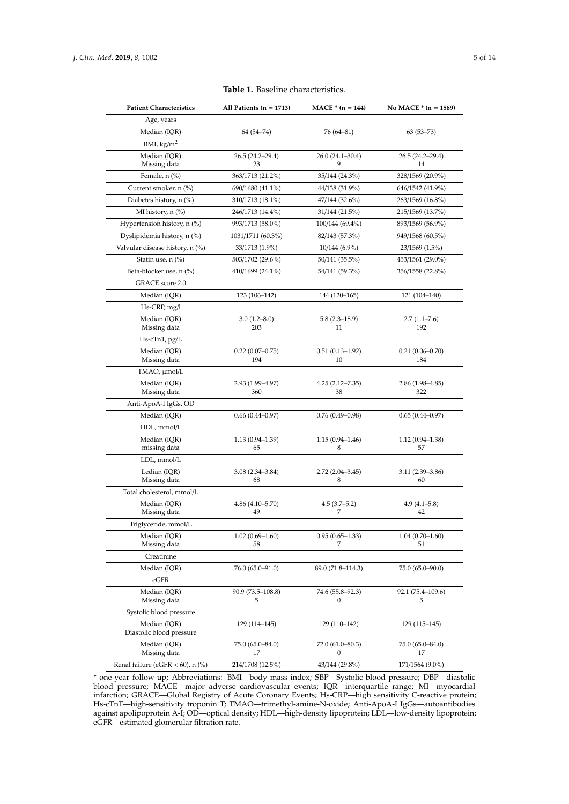<span id="page-4-0"></span>

| <b>Patient Characteristics</b>           | All Patients $(n = 1713)$ |                           | No MACE $*(n = 1569)$      |  |
|------------------------------------------|---------------------------|---------------------------|----------------------------|--|
| Age, years                               |                           |                           |                            |  |
| Median (IQR)                             | 64 (54–74)                | 76 (64–81)                | $63(53 - 73)$              |  |
| BMI, $\text{kg/m}^2$                     |                           |                           |                            |  |
| Median (IQR)<br>Missing data             | $26.5(24.2 - 29.4)$<br>23 | $26.0(24.1 - 30.4)$<br>9  | 26.5 (24.2–29.4)<br>14     |  |
| Female, $n$ $%$                          | 363/1713 (21.2%)          | 35/144 (24.3%)            | 328/1569 (20.9%)           |  |
| Current smoker, n (%)                    | 690/1680 (41.1%)          | 44/138 (31.9%)            | 646/1542 (41.9%)           |  |
| Diabetes history, n (%)                  | 310/1713 (18.1%)          | 47/144 (32.6%)            | 263/1569 (16.8%)           |  |
| MI history, $n$ $%$                      | 246/1713 (14.4%)          | 31/144 (21.5%)            | 215/1569 (13.7%)           |  |
| Hypertension history, $n$ (%)            | 993/1713 (58.0%)          | 100/144 (69.4%)           | 893/1569 (56.9%)           |  |
| Dyslipidemia history, n (%)              | 1031/1711 (60.3%)         | 82/143 (57.3%)            | 949/1568 (60.5%)           |  |
| Valvular disease history, n (%)          | 33/1713 (1.9%)            | $10/144(6.9\%)$           | 23/1569 (1.5%)             |  |
| Statin use, n (%)                        | 503/1702 (29.6%)          | 50/141 (35.5%)            | 453/1561 (29.0%)           |  |
| Beta-blocker use, n (%)                  | 410/1699 (24.1%)          | 54/141 (59.3%)            | 356/1558 (22.8%)           |  |
| GRACE score 2.0                          |                           |                           |                            |  |
| Median (IQR)                             | 123 (106-142)             | 144 (120–165)             | 121 (104-140)              |  |
| Hs-CRP, mg/l                             |                           |                           |                            |  |
| Median (IQR)<br>Missing data             | $3.0(1.2 - 8.0)$<br>203   | $5.8(2.3-18.9)$<br>11     | $2.7(1.1 - 7.6)$<br>192    |  |
| Hs-cTnT, pg/L                            |                           |                           |                            |  |
| Median (IQR)<br>Missing data             | $0.22(0.07-0.75)$<br>194  | $0.51(0.13 - 1.92)$<br>10 | $0.21(0.06 - 0.70)$<br>184 |  |
| TMAO, μmol/L                             |                           |                           |                            |  |
| Median (IQR)<br>Missing data             | 2.93 (1.99-4.97)<br>360   | $4.25(2.12 - 7.35)$<br>38 | $2.86(1.98-4.85)$<br>322   |  |
| Anti-ApoA-I IgGs, OD                     |                           |                           |                            |  |
| Median (IQR)                             | $0.66(0.44 - 0.97)$       | $0.76(0.49 - 0.98)$       | $0.65(0.44 - 0.97)$        |  |
| HDL, mmol/L                              |                           |                           |                            |  |
| Median (IQR)<br>missing data             | $1.13(0.94 - 1.39)$<br>65 | $1.15(0.94 - 1.46)$<br>8  | $1.12(0.94-1.38)$<br>57    |  |
| LDL, mmol/L                              |                           |                           |                            |  |
| Ledian (IQR)<br>Missing data             | $3.08(2.34 - 3.84)$<br>68 | $2.72(2.04 - 3.45)$<br>8  | $3.11(2.39 - 3.86)$<br>60  |  |
| Total cholesterol, mmol/L                |                           |                           |                            |  |
| Median (IQR)<br>Missing data             | $4.86(4.10-5.70)$<br>49   | $4.5(3.7-5.2)$<br>7       | $4.9(4.1 - 5.8)$<br>42     |  |
| Triglyceride, mmol/L                     |                           |                           |                            |  |
| Median (IOR)<br>Missing data             | $1.02(0.69 - 1.60)$<br>58 | $0.95(0.65-1.33)$<br>7    | $1.04(0.70-1.60)$<br>51    |  |
| Creatinine                               |                           |                           |                            |  |
| Median (IQR)                             | 76.0 (65.0–91.0)          | 89.0 (71.8–114.3)         | 75.0 (65.0–90.0)           |  |
| eGFR                                     |                           |                           |                            |  |
| Median (IQR)<br>Missing data             | 90.9 (73.5–108.8)<br>5    | 74.6 (55.8–92.3)<br>0     | 92.1 (75.4–109.6)<br>5     |  |
| Systolic blood pressure                  |                           |                           |                            |  |
| Median (IQR)<br>Diastolic blood pressure | 129 (114–145)             | 129 (110–142)             | 129 (115–145)              |  |
| Median (IOR)<br>Missing data             | 75.0 (65.0-84.0)<br>17    | $72.0(61.0 - 80.3)$<br>0  | 75.0 (65.0-84.0)<br>17     |  |
| Renal failure (eGFR < $60$ ), n (%)      | 214/1708 (12.5%)          | 43/144 (29.8%)            | 171/1564 (9.0%)            |  |

**Table 1.** Baseline characteristics.

\* one-year follow-up; Abbreviations: BMI—body mass index; SBP—Systolic blood pressure; DBP—diastolic blood pressure; MACE—major adverse cardiovascular events; IQR—interquartile range; MI—myocardial infarction; GRACE—Global Registry of Acute Coronary Events; Hs-CRP—high sensitivity C-reactive protein; Hs-cTnT—high-sensitivity troponin T; TMAO—trimethyl-amine-N-oxide; Anti-ApoA-I IgGs—autoantibodies against apolipoprotein A-I; OD—optical density; HDL—high-density lipoprotein; LDL—low-density lipoprotein; eGFR—estimated glomerular filtration rate.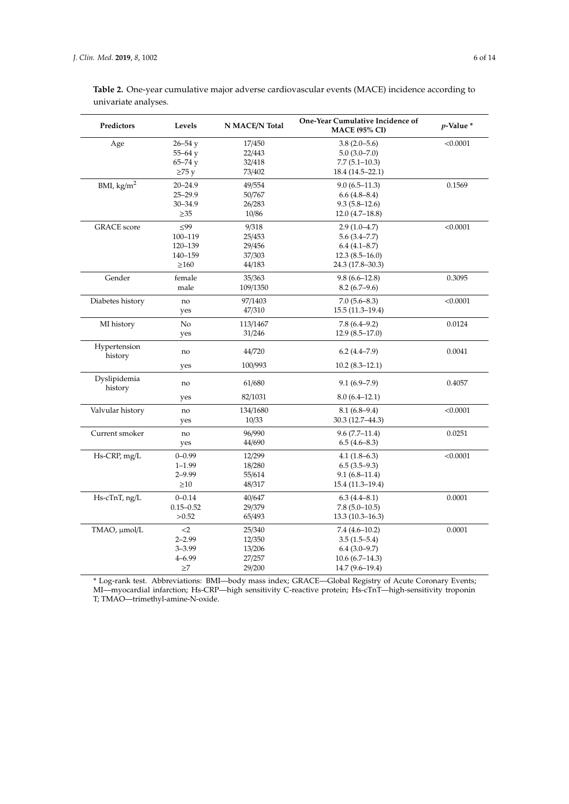| Predictors              | Levels        | N MACE/N Total | One-Year Cumulative Incidence of<br><b>MACE (95% CI)</b> | $p$ -Value $*$ |
|-------------------------|---------------|----------------|----------------------------------------------------------|----------------|
| Age                     | $26 - 54y$    | 17/450         | $3.8(2.0 - 5.6)$                                         | < 0.0001       |
|                         | $55 - 64$ y   | 22/443         | $5.0(3.0 - 7.0)$                                         |                |
|                         | $65 - 74y$    | 32/418         | $7.7(5.1 - 10.3)$                                        |                |
|                         | $\geq$ 75 y   | 73/402         | $18.4(14.5-22.1)$                                        |                |
| BMI, kg/m <sup>2</sup>  | $20 - 24.9$   | 49/554         | $9.0(6.5-11.3)$                                          | 0.1569         |
|                         | $25 - 29.9$   | 50/767         | 6.6(4.8–8.4)                                             |                |
|                         | $30 - 34.9$   | 26/283         | $9.3(5.8-12.6)$                                          |                |
|                         | $\geq 35$     | 10/86          | $12.0(4.7-18.8)$                                         |                |
| <b>GRACE</b> score      | < 99          | 9/318          | $2.9(1.0-4.7)$                                           | < 0.0001       |
|                         | 100-119       | 25/453         | $5.6(3.4 - 7.7)$                                         |                |
|                         | 120-139       | 29/456         | $6.4(4.1 - 8.7)$                                         |                |
|                         | 140-159       | 37/303         | $12.3(8.5-16.0)$                                         |                |
|                         | $\geq$ 160    | 44/183         | 24.3 (17.8-30.3)                                         |                |
| Gender                  | female        | 35/363         | $9.8(6.6 - 12.8)$                                        | 0.3095         |
|                         | male          | 109/1350       | $8.2(6.7-9.6)$                                           |                |
| Diabetes history        | no            | 97/1403        | $7.0(5.6 - 8.3)$                                         | < 0.0001       |
|                         | yes           | 47/310         | $15.5(11.3-19.4)$                                        |                |
| MI history              | No            | 113/1467       | $7.8(6.4 - 9.2)$                                         | 0.0124         |
|                         | yes           | 31/246         | $12.9(8.5-17.0)$                                         |                |
| Hypertension<br>history | no            | 44/720         | 6.2(4.4–7.9)                                             | 0.0041         |
|                         | yes           | 100/993        | $10.2(8.3-12.1)$                                         |                |
| Dyslipidemia<br>history | no            | 61/680         | $9.1(6.9 - 7.9)$                                         | 0.4057         |
|                         | yes           | 82/1031        | $8.0(6.4-12.1)$                                          |                |
| Valvular history        | no            | 134/1680       | $8.1(6.8-9.4)$                                           | < 0.0001       |
|                         | yes           | 10/33          | 30.3 (12.7-44.3)                                         |                |
| Current smoker          | no            | 96/990         | $9.6(7.7-11.4)$                                          | 0.0251         |
|                         | yes           | 44/690         | $6.5(4.6 - 8.3)$                                         |                |
| Hs-CRP, mg/L            | $0 - 0.99$    | 12/299         | $4.1(1.8-6.3)$                                           | < 0.0001       |
|                         | $1 - 1.99$    | 18/280         | $6.5(3.5-9.3)$                                           |                |
|                         | $2 - 9.99$    | 55/614         | $9.1(6.8-11.4)$                                          |                |
|                         | $\geq 10$     | 48/317         | $15.4(11.3-19.4)$                                        |                |
| Hs-cTnT, ng/L           | $0 - 0.14$    | 40/647         | 6.3(4.4–8.1)                                             | 0.0001         |
|                         | $0.15 - 0.52$ | 29/379         | $7.8(5.0-10.5)$                                          |                |
|                         | >0.52         | 65/493         | $13.3(10.3 - 16.3)$                                      |                |
| TMAO, µmol/L            | $<$ 2         | 25/340         | $7.4(4.6-10.2)$                                          | 0.0001         |
|                         | $2 - 2.99$    | 12/350         | $3.5(1.5-5.4)$                                           |                |
|                         | $3 - 3.99$    | 13/206         | $6.4(3.0-9.7)$                                           |                |
|                         | $4 - 6.99$    | 27/257         | $10.6(6.7-14.3)$                                         |                |
|                         | $\geq$ 7      | 29/200         | 14.7 (9.6-19.4)                                          |                |

<span id="page-5-0"></span>**Table 2.** One-year cumulative major adverse cardiovascular events (MACE) incidence according to univariate analyses.

\* Log-rank test. Abbreviations: BMI—body mass index; GRACE—Global Registry of Acute Coronary Events; MI—myocardial infarction; Hs-CRP—high sensitivity C-reactive protein; Hs-cTnT—high-sensitivity troponin T; TMAO—trimethyl-amine-N-oxide.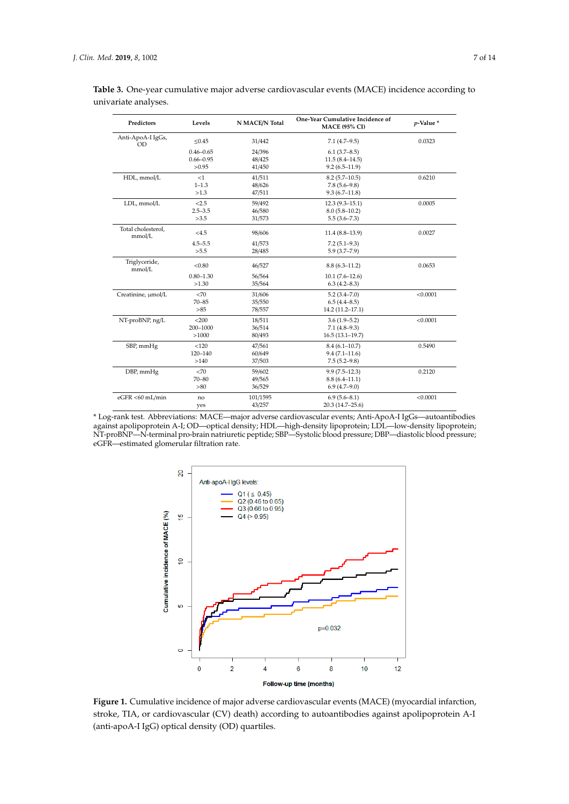| Predictors                     | N MACE/N Total<br>Levels |          | One-Year Cumulative Incidence of<br><b>MACE (95% CI)</b> | $p$ -Value $*$ |  |
|--------------------------------|--------------------------|----------|----------------------------------------------------------|----------------|--|
| Anti-ApoA-I IgGs,<br><b>OD</b> | < 0.45                   | 31/442   | $7.1(4.7-9.5)$                                           | 0.0323         |  |
|                                | $0.46 - 0.65$            | 24/396   | $6.1(3.7 - 8.5)$                                         |                |  |
|                                | $0.66 - 0.95$            | 48/425   | $11.5(8.4 - 14.5)$                                       |                |  |
|                                | >0.95                    | 41/450   | $9.2(6.5-11.9)$                                          |                |  |
| HDL, mmol/L                    | <1                       | 41/511   | $8.2(5.7-10.5)$                                          | 0.6210         |  |
|                                | $1 - 1.3$                | 48/626   | $7.8(5.6-9.8)$                                           |                |  |
|                                | >1.3                     | 47/511   | $9.3(6.7-11.8)$                                          |                |  |
| LDL, mmol/L                    | < 2.5                    | 59/492   | $12.3(9.3-15.1)$                                         | 0.0005         |  |
|                                | $2.5 - 3.5$              | 46/580   | $8.0(5.8-10.2)$                                          |                |  |
|                                | >3.5                     | 31/573   | $5.5(3.6 - 7.3)$                                         |                |  |
| Total cholesterol,<br>mmol/L   | < 4.5                    | 98/606   | $11.4(8.8-13.9)$                                         | 0.0027         |  |
|                                | $4.5 - 5.5$              | 41/573   | $7.2(5.1-9.3)$                                           |                |  |
|                                | >5.5                     | 28/485   | $5.9(3.7-7.9)$                                           |                |  |
| Triglyceride,<br>mmol/L        | < 0.80                   | 46/527   | $8.8(6.3-11.2)$                                          | 0.0653         |  |
|                                | $0.80 - 1.30$            | 56/564   | $10.1(7.6-12.6)$                                         |                |  |
|                                | >1.30                    | 35/564   | $6.3(4.2 - 8.3)$                                         |                |  |
| Creatinine, µmol/L             | <70                      | 31/606   | $5.2(3.4 - 7.0)$                                         | < 0.0001       |  |
|                                | $70 - 85$                | 35/550   | $6.5(4.4 - 8.5)$                                         |                |  |
|                                | $>\!85$                  | 78/557   | 14.2 (11.2-17.1)                                         |                |  |
| NT-proBNP, ng/L                | $<$ 200                  | 18/511   | $3.6(1.9-5.2)$                                           | < 0.0001       |  |
|                                | 200-1000                 | 36/514   | $7.1(4.8-9.3)$                                           |                |  |
|                                | >1000                    | 80/493   | $16.5(13.1-19.7)$                                        |                |  |
| SBP, mmHg                      | < 120                    | 47/561   | $8.4(6.1-10.7)$                                          | 0.5490         |  |
|                                | 120-140                  | 60/649   | $9.4(7.1-11.6)$                                          |                |  |
|                                | >140                     | 37/503   | $7.5(5.2 - 9.8)$                                         |                |  |
| DBP, mmHg                      | <70                      | 59/602   | $9.9(7.5-12.3)$                                          | 0.2120         |  |
|                                | $70 - 80$                | 49/565   | $8.8(6.4 - 11.1)$                                        |                |  |
|                                | > 80                     | 36/529   | $6.9(4.7-9.0)$                                           |                |  |
| eGFR <60 mL/min                | no                       | 101/1595 | $6.9(5.6 - 8.1)$                                         | < 0.0001       |  |
|                                | yes                      | 43/257   | 20.3 (14.7-25.6)                                         |                |  |

<span id="page-6-0"></span>**Table 3.** One-year cumulative major adverse cardiovascular events (MACE) incidence according to univariate analyses.

<span id="page-6-1"></span>\* Log-rank test. Abbreviations: MACE—major adverse cardiovascular events; Anti-ApoA-I IgGs—autoantibodies *J. Clin. Med.* **2019**, *8*, x FOR PEER REVIEW 8 of 17 against apolipoprotein A-I; OD—optical density; HDL—high-density lipoprotein; LDL—low-density lipoprotein; NT-proBNP—N-terminal pro-brain natriuretic peptide; SBP—Systolic blood pressure; DBP—diastolic blood pressure; eGFR—estimated glomerular filtration rate.



stroke, TIA, or cardiovascular (CV) death) according to autoantibodies against apolipoprotein A-I (anti-apoA-I IgG) optical density (OD) quartiles. **Figure 1.** Cumulative incidence of major adverse cardiovascular events (MACE) (myocardial infarction,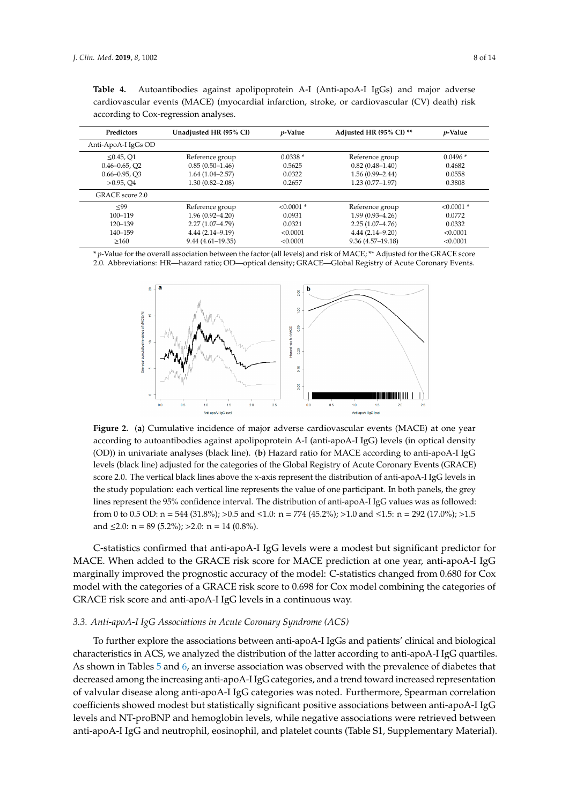| Unadjusted HR (95% CI) | <i>v</i> -Value | Adjusted HR (95% CI) ** | <i>p</i> -Value |
|------------------------|-----------------|-------------------------|-----------------|
|                        |                 |                         |                 |
| Reference group        | $0.0338*$       | Reference group         | $0.0496*$       |
| $0.85(0.50-1.46)$      | 0.5625          | $0.82(0.48 - 1.40)$     | 0.4682          |
| $1.64(1.04 - 2.57)$    | 0.0322          | $1.56(0.99 - 2.44)$     | 0.0558          |
| $1.30(0.82 - 2.08)$    | 0.2657          | $1.23(0.77 - 1.97)$     | 0.3808          |
|                        |                 |                         |                 |
| Reference group        | $< 0.0001$ *    | Reference group         | $< 0.0001$ *    |
| $1.96(0.92 - 4.20)$    | 0.0931          | $1.99(0.93 - 4.26)$     | 0.0772          |
| $2.27(1.07 - 4.79)$    | 0.0321          | $2.25(1.07 - 4.76)$     | 0.0332          |
| $4.44(2.14 - 9.19)$    | < 0.0001        | $4.44(2.14 - 9.20)$     | < 0.0001        |
| $9.44(4.61 - 19.35)$   | < 0.0001        | $9.36(4.57-19.18)$      | < 0.0001        |
|                        |                 |                         |                 |

<span id="page-7-0"></span>**Table 4.** Autoantibodies against apolipoprotein A-I (Anti-apoA-I IgGs) and major adverse cardiovascular events (MACE) (myocardial infarction, stroke, or cardiovascular (CV) death) risk according to Cox-regression analyses.

<span id="page-7-1"></span>\* *p*-Value for the overall association between the factor (all levels) and risk of MACE; \*\* Adjusted for the GRACE score 2.0. Abbreviations: HR—hazard ratio; OD—optical density; GRACE—Global Registry of Acute Coronary Events. erali association between the factor (all levels) and risk (



**Figure 2.** (**a**) Cumulative incidence of major adverse cardiovascular events (MACE) at one year **Figure 2.** (**a**) Cumulative incidence of major adverse cardiovascular events (MACE) at one year according to autoantibodies against apolipoprotein A-I (anti-apoA-I IgG) levels (in optical density according to autoantibodies against apolipoprotein A-I (anti-apoA-I IgG) levels (in optical density  $\begin{bmatrix} 0 & 0 & 0 & 0 \\ 0 & 0 & 0 & 0 \\ 0 & 0 & 0 & 0 \\ 0 & 0 & 0 & 0 \end{bmatrix}$ (OD)) in univariate analyses (black line). (**b**) Hazard ratio for MACE according to anti-apoA-I IgG levels (black line) adjusted for the categories of the Global Registry of Acute Coronary Events (GRACE) If it is the study population: the study population represents the value of one participant  $\Lambda$ score 2.0. The vertical black lines above the x-axis represent the distribution of anti-apoA-I IgG levels in  $\,$ the study population: each vertical line represents the value of one participant. In both panels, the grey lines represent the 95% confidence interval. The distribution of anti-apoA-I IgG values was as followed: from 0 to 0.5 OD:  $n = 544$  (31.8%); >0.5 and  $\leq 1.0$ :  $n = 774$  (45.2%); >1.0 and  $\leq 1.5$ :  $n = 292$  (17.0%); >1.5 and  $\leq$ 2.0: n = 89 (5.2%); >2.0: n = 14 (0.8%).

C-statistics confirmed that anti-apoA-I IgG levels were a modest but significant predictor for MACE. When added to the GRACE risk score for MACE prediction at one year, anti-apoA-I IgG marginally improved the prognostic accuracy of the model: C-statistics changed from 0.680 for Cox model with the categories of a GRACE risk score to 0.698 for Cox model combining the categories of GRACE risk score and anti-apoA-I IgG levels in a continuous way.

## *3.3. Anti-apoA-I IgG Associations in Acute Coronary Syndrome (ACS)*

To further explore the associations between anti-apoA-I IgGs and patients' clinical and biological characteristics in ACS, we analyzed the distribution of the latter according to anti-apoA-I IgG quartiles. As shown in Tables [5](#page-8-0) and [6,](#page-9-0) an inverse association was observed with the prevalence of diabetes that decreased among the increasing anti-apoA-I IgG categories, and a trend toward increased representation of valvular disease along anti-apoA-I IgG categories was noted. Furthermore, Spearman correlation coefficients showed modest but statistically significant positive associations between anti-apoA-I IgG levels and NT-proBNP and hemoglobin levels, while negative associations were retrieved between anti-apoA-I IgG and neutrophil, eosinophil, and platelet counts (Table S1, Supplementary Material).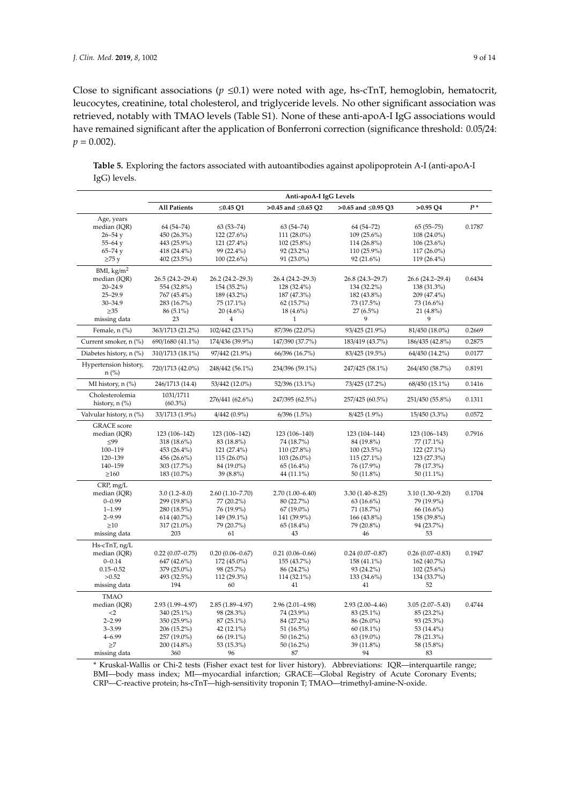Close to significant associations ( $p \le 0.1$ ) were noted with age, hs-cTnT, hemoglobin, hematocrit, leucocytes, creatinine, total cholesterol, and triglyceride levels. No other significant association was retrieved, notably with TMAO levels (Table S1). None of these anti-apoA-I IgG associations would have remained significant after the application of Bonferroni correction (significance threshold: 0.05/24:  $p = 0.002$ .

<span id="page-8-0"></span>**Table 5.** Exploring the factors associated with autoantibodies against apolipoprotein A-I (anti-apoA-I IgG) levels.

|                                                                                                            |                                                                                                    |                                                                                               | Anti-apoA-I IgG Levels                                                                        |                                                                                                 |                                                                                                 |        |
|------------------------------------------------------------------------------------------------------------|----------------------------------------------------------------------------------------------------|-----------------------------------------------------------------------------------------------|-----------------------------------------------------------------------------------------------|-------------------------------------------------------------------------------------------------|-------------------------------------------------------------------------------------------------|--------|
|                                                                                                            | <b>All Patients</b>                                                                                | $\leq$ 0.45 Q1                                                                                | >0.45 and $\leq$ 0.65 Q2                                                                      | ${>}0.65$ and ${\leq}0.95$ Q3                                                                   | $>0.95$ Q4                                                                                      | $P^*$  |
| Age, years<br>median (IQR)<br>$26 - 54y$<br>$55 - 64$ y<br>$65 - 74$ y<br>$\geq$ 75 y                      | $64(54 - 74)$<br>450 (26.3%)<br>443 (25.9%)<br>418 (24.4%)<br>402 (23.5%)                          | $63(53 - 74)$<br>122 (27.6%)<br>121 (27.4%)<br>99 (22.4%)<br>$100(22.6\%)$                    | $63(54 - 74)$<br>111 (28.0%)<br>102 (25.8%)<br>92 (23.2%)<br>91 (23.0%)                       | 64 (54-72)<br>$109(25.6\%)$<br>114 (26.8%)<br>110 (25.9%)<br>$92(21.6\%)$                       | $65(55 - 75)$<br>108 (24.0%)<br>$106(23.6\%)$<br>117 (26.0%)<br>119 (26.4%)                     | 0.1787 |
| BMI, $\text{kg/m}^2$<br>median (IQR)<br>$20 - 24.9$<br>$25 - 29.9$<br>30-34.9<br>$\geq$ 35<br>missing data | $26.5(24.2 - 29.4)$<br>554 (32.8%)<br>767 (45.4%)<br>283 (16.7%)<br>$86(5.1\%)$<br>23              | 26.2 (24.2-29.3)<br>154 (35.2%)<br>189 (43.2%)<br>75 (17.1%)<br>$20(4.6\%)$<br>$\overline{4}$ | 26.4 (24.2-29.3)<br>128 (32.4%)<br>187 (47.3%)<br>62 (15.7%)<br>$18(4.6\%)$<br>1              | 26.8 (24.3-29.7)<br>134 (32.2%)<br>182 (43.8%)<br>73 (17.5%)<br>$27(6.5\%)$<br>9                | 26.6 (24.2-29.4)<br>138 (31.3%)<br>209 (47.4%)<br>73 (16.6%)<br>21 (4.8%)<br>9                  | 0.6434 |
| Female, $n$ (%)                                                                                            | 363/1713 (21.2%)                                                                                   | 102/442 (23.1%)                                                                               | 87/396 (22.0%)                                                                                | 93/425 (21.9%)                                                                                  | 81/450 (18.0%)                                                                                  | 0.2669 |
| Current smoker, n (%)                                                                                      | 690/1680 (41.1%)                                                                                   | 174/436 (39.9%)                                                                               | 147/390 (37.7%)                                                                               | 183/419 (43.7%)                                                                                 | 186/435 (42.8%)                                                                                 | 0.2875 |
| Diabetes history, n (%)                                                                                    | 310/1713 (18.1%)                                                                                   | 97/442 (21.9%)                                                                                | 66/396 (16.7%)                                                                                | 83/425 (19.5%)                                                                                  | 64/450 (14.2%)                                                                                  | 0.0177 |
| Hypertension history,<br>$n$ (%)                                                                           | 720/1713 (42.0%)                                                                                   | 248/442 (56.1%)                                                                               | 234/396 (59.1%)                                                                               | 247/425 (58.1%)                                                                                 | 264/450 (58.7%)                                                                                 | 0.8191 |
| MI history, n (%)                                                                                          | 246/1713 (14.4)                                                                                    | 53/442 (12.0%)                                                                                | 52/396 (13.1%)                                                                                | 73/425 (17.2%)                                                                                  | 68/450 (15.1%)                                                                                  | 0.1416 |
| Cholesterolemia<br>history, $n$ $\left(\% \right)$                                                         | 1031/1711<br>$(60.3\%)$                                                                            | 276/441 (62.6%)                                                                               | 247/395 (62.5%)                                                                               | 257/425 (60.5%)                                                                                 | 251/450 (55.8%)                                                                                 | 0.1311 |
| Valvular history, n (%)                                                                                    | 33/1713 (1.9%)                                                                                     | 4/442 (0.9%)                                                                                  | $6/396$ $(1.5\%)$                                                                             | 8/425 (1.9%)                                                                                    | 15/450 (3.3%)                                                                                   | 0.0572 |
| <b>GRACE</b> score<br>median (IQR)<br>$\leq 99$<br>100-119<br>120-139<br>140-159<br>$\geq$ 160             | 123 (106-142)<br>318 (18.6%)<br>453 (26.4%)<br>456 (26.6%)<br>303 (17.7%)<br>183 (10.7%)           | 123 (106-142)<br>83 (18.8%)<br>121 (27.4%)<br>115 (26.0%)<br>84 (19.0%)<br>39 (8.8%)          | 123 (106-140)<br>74 (18.7%)<br>110 (27.8%)<br>103 (26.0%)<br>65 (16.4%)<br>44 (11.1%)         | 123 (104-144)<br>84 (19.8%)<br>$100(23.5\%)$<br>115 (27.1%)<br>76 (17.9%)<br>50 (11.8%)         | 123 (106-143)<br>77 (17.1%)<br>122 (27.1%)<br>123 (27.3%)<br>78 (17.3%)<br>50 (11.1%)           | 0.7916 |
| CRP, mg/L<br>median (IQR)<br>$0 - 0.99$<br>$1 - 1.99$<br>$2 - 9.99$<br>$\geq 10$<br>missing data           | $3.0(1.2 - 8.0)$<br>299 (19.8%)<br>280 (18.5%)<br>614 (40.7%)<br>317 (21.0%)<br>203                | $2.60(1.10 - 7.70)$<br>77 (20.2%)<br>76 (19.9%)<br>149 (39.1%)<br>79 (20.7%)<br>61            | $2.70(1.00 - 6.40)$<br>80 (22.7%)<br>67 (19.0%)<br>141 (39.9%)<br>65 (18.4%)<br>43            | $3.30(1.40 - 8.25)$<br>$63(16.6\%)$<br>71 (18.7%)<br>166 (43.8%)<br>79 (20.8%)<br>46            | $3.10(1.30 - 9.20)$<br>79 (19.9%)<br>66 (16.6%)<br>158 (39.8%)<br>94 (23.7%)<br>53              | 0.1704 |
| Hs-cTnT, ng/L<br>median (IQR)<br>$0 - 0.14$<br>$0.15 - 0.52$<br>>0.52<br>missing data                      | $0.22(0.07-0.75)$<br>647 (42.6%)<br>379 (25.0%)<br>493 (32.5%)<br>194                              | $0.20(0.06 - 0.67)$<br>172 (45.0%)<br>98 (25.7%)<br>112 (29.3%)<br>60                         | $0.21(0.06 - 0.66)$<br>155 (43.7%)<br>86 (24.2%)<br>114 (32.1%)<br>41                         | $0.24(0.07 - 0.87)$<br>158 (41.1%)<br>93 (24.2%)<br>133 (34.6%)<br>41                           | $0.26(0.07-0.83)$<br>162 (40.7%)<br>$102(25.6\%)$<br>134 (33.7%)<br>52                          | 0.1947 |
| <b>TMAO</b><br>median (IQR)<br>$<$ 2<br>$2 - 2.99$<br>$3 - 3.99$<br>$4 - 6.99$<br>$\geq$ 7<br>missing data | 2.93 (1.99-4.97)<br>340 (25.1%)<br>350 (25.9%)<br>206 (15.2%)<br>257 (19.0%)<br>200 (14.8%)<br>360 | 2.85 (1.89-4.97)<br>98 (28.3%)<br>87 (25.1%)<br>42 (12.1%)<br>66 (19.1%)<br>53 (15.3%)<br>96  | $2.96(2.01-4.98)$<br>74 (23.9%)<br>84 (27.2%)<br>51 (16.5%)<br>50 (16.2%)<br>50 (16.2%)<br>87 | $2.93(2.00-4.46)$<br>83 (25.1%)<br>86 (26.0%)<br>$60(18.1\%)$<br>63 (19.0%)<br>39 (11.8%)<br>94 | $3.05(2.07 - 5.43)$<br>85 (23.2%)<br>93 (25.3%)<br>53 (14.4%)<br>78 (21.3%)<br>58 (15.8%)<br>83 | 0.4744 |

\* Kruskal-Wallis or Chi-2 tests (Fisher exact test for liver history). Abbreviations: IQR—interquartile range; BMI—body mass index; MI—myocardial infarction; GRACE—Global Registry of Acute Coronary Events; CRP—C-reactive protein; hs-cTnT—high-sensitivity troponin T; TMAO—trimethyl-amine-N-oxide.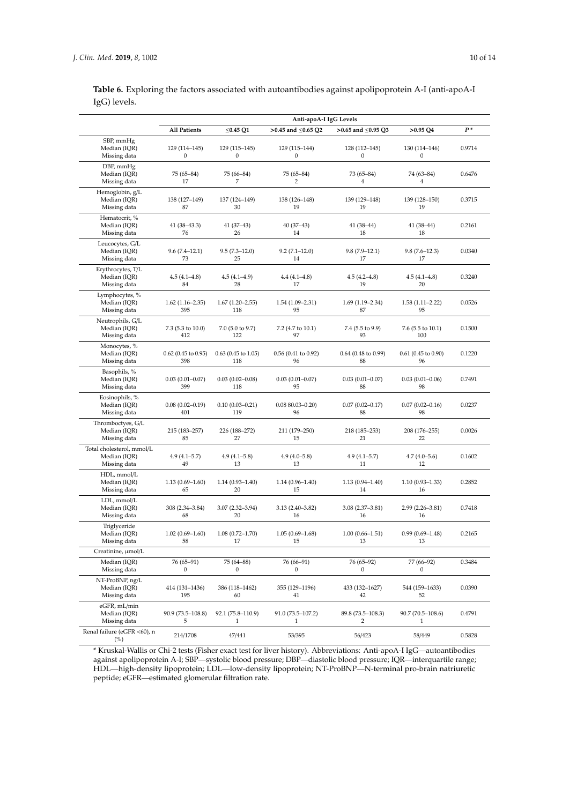<span id="page-9-0"></span>

|              | <b>Table 6.</b> Exploring the factors associated with autoantibodies against apolipoprotein A-I (anti-apoA-I |
|--------------|--------------------------------------------------------------------------------------------------------------|
| IgG) levels. |                                                                                                              |

|                                                           |                              |                              | Anti-apoA-I IgG Levels       |                             |                                     |        |
|-----------------------------------------------------------|------------------------------|------------------------------|------------------------------|-----------------------------|-------------------------------------|--------|
|                                                           | <b>All Patients</b>          | ≤0.45 $Q1$                   | >0.45 and $\leq$ 0.65 Q2     | >0.65 and ≤0.95 Q3          | $>0.95$ O4                          | $P^*$  |
| SBP, mmHg<br>Median (IQR)<br>Missing data                 | 129 (114-145)<br>0           | 129 (115–145)<br>0           | 129 (115–144)<br>0           | 128 (112–145)<br>$\bf{0}$   | 130 (114-146)<br>$\boldsymbol{0}$   | 0.9714 |
| DBP, mmHg<br>Median (IQR)<br>Missing data                 | $75(65 - 84)$<br>17          | 75 (66-84)<br>7              | 75 (65-84)<br>$\overline{2}$ | 73 (65-84)<br>4             | 74 (63-84)<br>$\overline{4}$        | 0.6476 |
| Hemoglobin, g/L<br>Median (IQR)<br>Missing data           | 138 (127-149)<br>87          | 137 (124-149)<br>30          | 138 (126-148)<br>19          | 139 (129-148)<br>19         | 139 (128-150)<br>19                 | 0.3715 |
| Hematocrit, %<br>Median (IQR)<br>Missing data             | 41 (38-43.3)<br>76           | 41 (37-43)<br>26             | 40 (37-43)<br>14             | $41(38-44)$<br>18           | 41 (38-44)<br>18                    | 0.2161 |
| Leucocytes, G/L<br>Median (IQR)<br>Missing data           | $9.6(7.4-12.1)$<br>73        | $9.5(7.3-12.0)$<br>25        | $9.2(7.1 - 12.0)$<br>14      | $9.8(7.9-12.1)$<br>17       | $9.8(7.6 - 12.3)$<br>17             | 0.0340 |
| Erythrocytes, T/L<br>Median (IQR)<br>Missing data         | $4.5(4.1-4.8)$<br>84         | $4.5(4.1-4.9)$<br>28         | $4.4(4.1-4.8)$<br>17         | $4.5(4.2 - 4.8)$<br>19      | $4.5(4.1-4.8)$<br>20                | 0.3240 |
| Lymphocytes, %<br>Median (IQR)<br>Missing data            | $1.62(1.16-2.35)$<br>395     | $1.67(1.20-2.55)$<br>118     | $1.54(1.09 - 2.31)$<br>95    | $1.69(1.19-2.34)$<br>87     | $1.58(1.11 - 2.22)$<br>95           | 0.0526 |
| Neutrophils, G/L<br>Median (IQR)<br>Missing data          | 7.3 (5.3 to 10.0)<br>412     | 7.0 (5.0 to 9.7)<br>122      | 7.2 (4.7 to 10.1)<br>97      | 7.4 (5.5 to 9.9)<br>93      | 7.6 $(5.5 \text{ to } 10.1)$<br>100 | 0.1500 |
| Monocytes, %<br>Median (IQR)<br>Missing data              | $0.62$ (0.45 to 0.95)<br>398 | $0.63$ (0.45 to 1.05)<br>118 | $0.56$ (0.41 to 0.92)<br>96  | $0.64$ (0.48 to 0.99)<br>88 | $0.61$ (0.45 to 0.90)<br>96         | 0.1220 |
| Basophils, %<br>Median (IQR)<br>Missing data              | $0.03(0.01 - 0.07)$<br>399   | $0.03(0.02 - 0.08)$<br>118   | $0.03(0.01 - 0.07)$<br>95    | $0.03(0.01 - 0.07)$<br>88   | $0.03(0.01 - 0.06)$<br>98           | 0.7491 |
| Eosinophils, %<br>Median (IQR)<br>Missing data            | $0.08(0.02 - 0.19)$<br>401   | $0.10(0.03 - 0.21)$<br>119   | $0.0880.03 - 0.20$<br>96     | $0.07(0.02 - 0.17)$<br>88   | $0.07(0.02 - 0.16)$<br>98           | 0.0237 |
| Thromboctyes, G/L<br>Median (IQR)<br>Missing data         | 215 (183-257)<br>85          | 226 (188-272)<br>27          | 211 (179-250)<br>15          | 218 (185-253)<br>21         | 208 (176-255)<br>22                 | 0.0026 |
| Total cholesterol, mmol/L<br>Median (IQR)<br>Missing data | $4.9(4.1 - 5.7)$<br>49       | $4.9(4.1-5.8)$<br>13         | $4.9(4.0-5.8)$<br>13         | $4.9(4.1-5.7)$<br>11        | $4.7(4.0-5.6)$<br>12                | 0.1602 |
| HDL, mmol/L<br>Median (IQR)<br>Missing data               | $1.13(0.69 - 1.60)$<br>65    | $1.14(0.93 - 1.40)$<br>20    | $1.14(0.96 - 1.40)$<br>15    | $1.13(0.94 - 1.40)$<br>14   | $1.10(0.93 - 1.33)$<br>16           | 0.2852 |
| LDL, mmol/L<br>Median (IQR)<br>Missing data               | 308 (2.34-3.84)<br>68        | 3.07 (2.32-3.94)<br>20       | $3.13(2.40 - 3.82)$<br>16    | $3.08(2.37 - 3.81)$<br>16   | 2.99 (2.26-3.81)<br>16              | 0.7418 |
| Triglyceride<br>Median (IQR)<br>Missing data              | $1.02(0.69 - 1.60)$<br>58    | $1.08(0.72 - 1.70)$<br>17    | $1.05(0.69 - 1.68)$<br>15    | $1.00(0.66 - 1.51)$<br>13   | $0.99(0.69 - 1.48)$<br>13           | 0.2165 |
| Creatinine, µmol/L                                        |                              |                              |                              |                             |                                     |        |
| Median (IQR)<br>Missing data                              | 76 (65-91)<br>0              | 75 (64-88)<br>0              | 76 (66–91)<br>$\mathbf{0}$   | 76 (65-92)<br>0             | 77 (66-92)<br>0                     | 0.3484 |
| NT-ProBNP, ng/L<br>Median (IQR)<br>Missing data           | 414 (131–1436)<br>195        | 386 (118-1462)<br>60         | 355 (129-1196)<br>41         | 433 (132-1627)<br>42        | 544 (159-1633)<br>52                | 0.0390 |
| eGFR, mL/min<br>Median (IQR)<br>Missing data              | 90.9 (73.5-108.8)<br>5       | 92.1 (75.8-110.9)<br>1       | 91.0 (73.5-107.2)<br>1       | 89.8 (73.5-108.3)<br>2      | 90.7 (70.5-108.6)<br>1              | 0.4791 |
| Renal failure (eGFR <60), n<br>(%)                        | 214/1708                     | 47/441                       | 53/395                       | 56/423                      | 58/449                              | 0.5828 |

\* Kruskal-Wallis or Chi-2 tests (Fisher exact test for liver history). Abbreviations: Anti-apoA-I IgG—autoantibodies against apolipoprotein A-I; SBP—systolic blood pressure; DBP—diastolic blood pressure; IQR—interquartile range; HDL—high-density lipoprotein; LDL—low-density lipoprotein; NT-ProBNP—N-terminal pro-brain natriuretic peptide; eGFR—estimated glomerular filtration rate.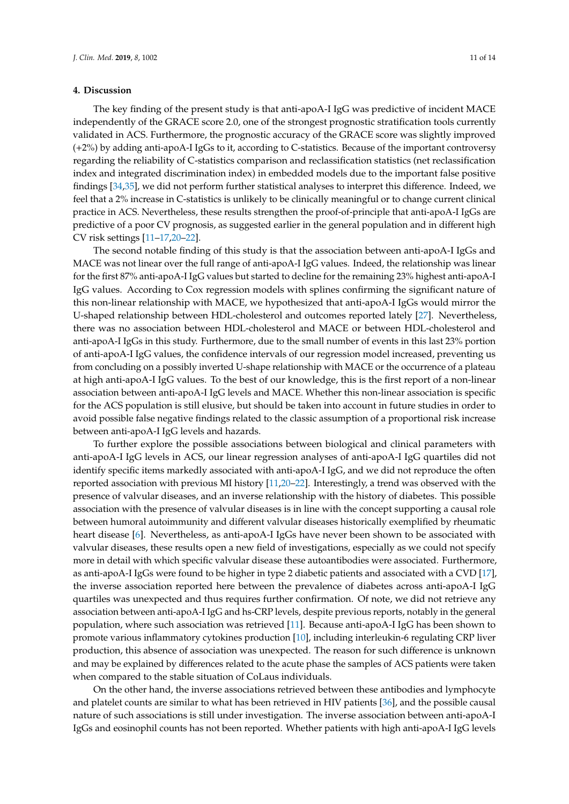#### **4. Discussion**

The key finding of the present study is that anti-apoA-I IgG was predictive of incident MACE independently of the GRACE score 2.0, one of the strongest prognostic stratification tools currently validated in ACS. Furthermore, the prognostic accuracy of the GRACE score was slightly improved (+2%) by adding anti-apoA-I IgGs to it, according to C-statistics. Because of the important controversy regarding the reliability of C-statistics comparison and reclassification statistics (net reclassification index and integrated discrimination index) in embedded models due to the important false positive findings [\[34,](#page-13-10)[35\]](#page-13-11), we did not perform further statistical analyses to interpret this difference. Indeed, we feel that a 2% increase in C-statistics is unlikely to be clinically meaningful or to change current clinical practice in ACS. Nevertheless, these results strengthen the proof-of-principle that anti-apoA-I IgGs are predictive of a poor CV prognosis, as suggested earlier in the general population and in different high CV risk settings [\[11](#page-12-2)[–17,](#page-12-9)[20](#page-12-7)[–22\]](#page-12-3).

The second notable finding of this study is that the association between anti-apoA-I IgGs and MACE was not linear over the full range of anti-apoA-I IgG values. Indeed, the relationship was linear for the first 87% anti-apoA-I IgG values but started to decline for the remaining 23% highest anti-apoA-I IgG values. According to Cox regression models with splines confirming the significant nature of this non-linear relationship with MACE, we hypothesized that anti-apoA-I IgGs would mirror the U-shaped relationship between HDL-cholesterol and outcomes reported lately [\[27\]](#page-13-3). Nevertheless, there was no association between HDL-cholesterol and MACE or between HDL-cholesterol and anti-apoA-I IgGs in this study. Furthermore, due to the small number of events in this last 23% portion of anti-apoA-I IgG values, the confidence intervals of our regression model increased, preventing us from concluding on a possibly inverted U-shape relationship with MACE or the occurrence of a plateau at high anti-apoA-I IgG values. To the best of our knowledge, this is the first report of a non-linear association between anti-apoA-I IgG levels and MACE. Whether this non-linear association is specific for the ACS population is still elusive, but should be taken into account in future studies in order to avoid possible false negative findings related to the classic assumption of a proportional risk increase between anti-apoA-I IgG levels and hazards.

To further explore the possible associations between biological and clinical parameters with anti-apoA-I IgG levels in ACS, our linear regression analyses of anti-apoA-I IgG quartiles did not identify specific items markedly associated with anti-apoA-I IgG, and we did not reproduce the often reported association with previous MI history [\[11,](#page-12-2)[20](#page-12-7)[–22\]](#page-12-3). Interestingly, a trend was observed with the presence of valvular diseases, and an inverse relationship with the history of diabetes. This possible association with the presence of valvular diseases is in line with the concept supporting a causal role between humoral autoimmunity and different valvular diseases historically exemplified by rheumatic heart disease [\[6\]](#page-12-0). Nevertheless, as anti-apoA-I IgGs have never been shown to be associated with valvular diseases, these results open a new field of investigations, especially as we could not specify more in detail with which specific valvular disease these autoantibodies were associated. Furthermore, as anti-apoA-I IgGs were found to be higher in type 2 diabetic patients and associated with a CVD [\[17\]](#page-12-9), the inverse association reported here between the prevalence of diabetes across anti-apoA-I IgG quartiles was unexpected and thus requires further confirmation. Of note, we did not retrieve any association between anti-apoA-I IgG and hs-CRP levels, despite previous reports, notably in the general population, where such association was retrieved [\[11\]](#page-12-2). Because anti-apoA-I IgG has been shown to promote various inflammatory cytokines production [\[10\]](#page-12-1), including interleukin-6 regulating CRP liver production, this absence of association was unexpected. The reason for such difference is unknown and may be explained by differences related to the acute phase the samples of ACS patients were taken when compared to the stable situation of CoLaus individuals.

On the other hand, the inverse associations retrieved between these antibodies and lymphocyte and platelet counts are similar to what has been retrieved in HIV patients [\[36\]](#page-13-12), and the possible causal nature of such associations is still under investigation. The inverse association between anti-apoA-I IgGs and eosinophil counts has not been reported. Whether patients with high anti-apoA-I IgG levels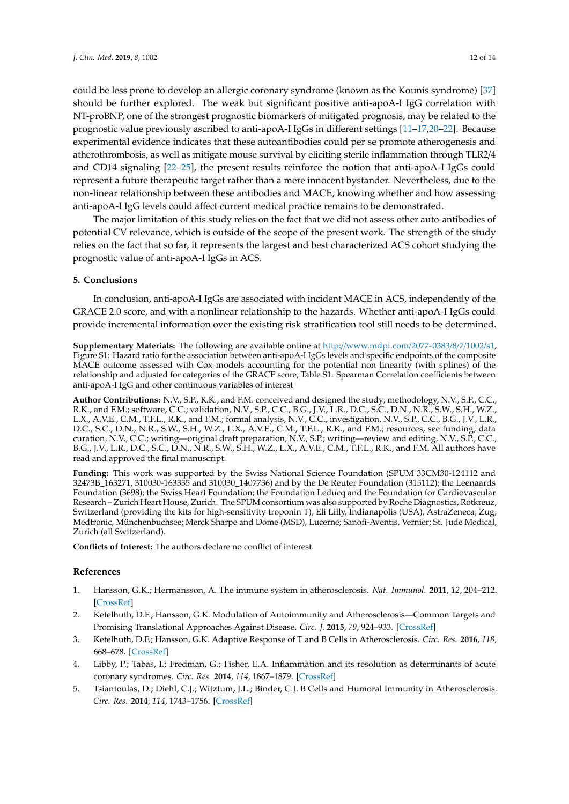could be less prone to develop an allergic coronary syndrome (known as the Kounis syndrome) [\[37\]](#page-13-13) should be further explored. The weak but significant positive anti-apoA-I IgG correlation with NT-proBNP, one of the strongest prognostic biomarkers of mitigated prognosis, may be related to the prognostic value previously ascribed to anti-apoA-I IgGs in different settings [\[11–](#page-12-2)[17,](#page-12-9)[20](#page-12-7)[–22\]](#page-12-3). Because experimental evidence indicates that these autoantibodies could per se promote atherogenesis and atherothrombosis, as well as mitigate mouse survival by eliciting sterile inflammation through TLR2/4 and CD14 signaling [\[22–](#page-12-3)[25\]](#page-13-1), the present results reinforce the notion that anti-apoA-I IgGs could represent a future therapeutic target rather than a mere innocent bystander. Nevertheless, due to the non-linear relationship between these antibodies and MACE, knowing whether and how assessing anti-apoA-I IgG levels could affect current medical practice remains to be demonstrated.

The major limitation of this study relies on the fact that we did not assess other auto-antibodies of potential CV relevance, which is outside of the scope of the present work. The strength of the study relies on the fact that so far, it represents the largest and best characterized ACS cohort studying the prognostic value of anti-apoA-I IgGs in ACS.

## **5. Conclusions**

In conclusion, anti-apoA-I IgGs are associated with incident MACE in ACS, independently of the GRACE 2.0 score, and with a nonlinear relationship to the hazards. Whether anti-apoA-I IgGs could provide incremental information over the existing risk stratification tool still needs to be determined.

**Supplementary Materials:** The following are available online at http://[www.mdpi.com](http://www.mdpi.com/2077-0383/8/7/1002/s1)/2077-0383/8/7/1002/s1, Figure S1: Hazard ratio for the association between anti-apoA-I IgGs levels and specific endpoints of the composite MACE outcome assessed with Cox models accounting for the potential non linearity (with splines) of the relationship and adjusted for categories of the GRACE score, Table S1: Spearman Correlation coefficients between anti-apoA-I IgG and other continuous variables of interest

**Author Contributions:** N.V., S.P., R.K., and F.M. conceived and designed the study; methodology, N.V., S.P., C.C., R.K., and F.M.; software, C.C.; validation, N.V., S.P., C.C., B.G., J.V., L.R., D.C., S.C., D.N., N.R., S.W., S.H., W.Z., L.X., A.V.E., C.M., T.F.L., R.K., and F.M.; formal analysis, N.V., C.C., investigation, N.V., S.P., C.C., B.G., J.V., L.R., D.C., S.C., D.N., N.R., S.W., S.H., W.Z., L.X., A.V.E., C.M., T.F.L., R.K., and F.M.; resources, see funding; data curation, N.V., C.C.; writing—original draft preparation, N.V., S.P.; writing—review and editing, N.V., S.P., C.C., B.G., J.V., L.R., D.C., S.C., D.N., N.R., S.W., S.H., W.Z., L.X., A.V.E., C.M., T.F.L., R.K., and F.M. All authors have read and approved the final manuscript.

**Funding:** This work was supported by the Swiss National Science Foundation (SPUM 33CM30-124112 and 32473B\_163271, 310030-163335 and 310030\_1407736) and by the De Reuter Foundation (315112); the Leenaards Foundation (3698); the Swiss Heart Foundation; the Foundation Leducq and the Foundation for Cardiovascular Research – Zurich Heart House, Zurich. The SPUM consortium was also supported by Roche Diagnostics, Rotkreuz, Switzerland (providing the kits for high-sensitivity troponin T), Eli Lilly, Indianapolis (USA), AstraZeneca, Zug; Medtronic, Münchenbuchsee; Merck Sharpe and Dome (MSD), Lucerne; Sanofi-Aventis, Vernier; St. Jude Medical, Zurich (all Switzerland).

**Conflicts of Interest:** The authors declare no conflict of interest.

#### **References**

- <span id="page-11-0"></span>1. Hansson, G.K.; Hermansson, A. The immune system in atherosclerosis. *Nat. Immunol.* **2011**, *12*, 204–212. [\[CrossRef\]](http://dx.doi.org/10.1038/ni.2001)
- 2. Ketelhuth, D.F.; Hansson, G.K. Modulation of Autoimmunity and Atherosclerosis—Common Targets and Promising Translational Approaches Against Disease. *Circ. J.* **2015**, *79*, 924–933. [\[CrossRef\]](http://dx.doi.org/10.1253/circj.CJ-15-0167)
- <span id="page-11-1"></span>3. Ketelhuth, D.F.; Hansson, G.K. Adaptive Response of T and B Cells in Atherosclerosis. *Circ. Res.* **2016**, *118*, 668–678. [\[CrossRef\]](http://dx.doi.org/10.1161/CIRCRESAHA.115.306427)
- <span id="page-11-2"></span>4. Libby, P.; Tabas, I.; Fredman, G.; Fisher, E.A. Inflammation and its resolution as determinants of acute coronary syndromes. *Circ. Res.* **2014**, *114*, 1867–1879. [\[CrossRef\]](http://dx.doi.org/10.1161/CIRCRESAHA.114.302699)
- <span id="page-11-3"></span>5. Tsiantoulas, D.; Diehl, C.J.; Witztum, J.L.; Binder, C.J. B Cells and Humoral Immunity in Atherosclerosis. *Circ. Res.* **2014**, *114*, 1743–1756. [\[CrossRef\]](http://dx.doi.org/10.1161/CIRCRESAHA.113.301145)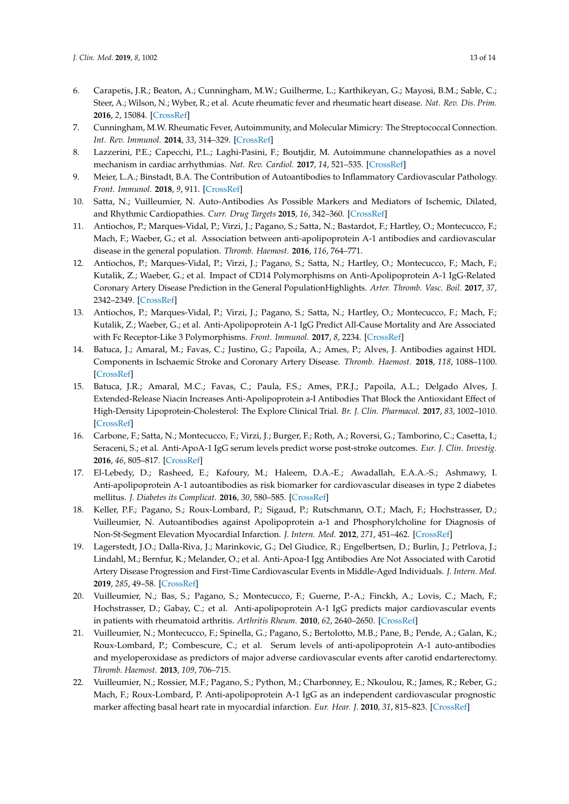- <span id="page-12-0"></span>6. Carapetis, J.R.; Beaton, A.; Cunningham, M.W.; Guilherme, L.; Karthikeyan, G.; Mayosi, B.M.; Sable, C.; Steer, A.; Wilson, N.; Wyber, R.; et al. Acute rheumatic fever and rheumatic heart disease. *Nat. Rev. Dis. Prim.* **2016**, *2*, 15084. [\[CrossRef\]](http://dx.doi.org/10.1038/nrdp.2015.84)
- 7. Cunningham, M.W. Rheumatic Fever, Autoimmunity, and Molecular Mimicry: The Streptococcal Connection. *Int. Rev. Immunol.* **2014**, *33*, 314–329. [\[CrossRef\]](http://dx.doi.org/10.3109/08830185.2014.917411)
- 8. Lazzerini, P.E.; Capecchi, P.L.; Laghi-Pasini, F.; Boutjdir, M. Autoimmune channelopathies as a novel mechanism in cardiac arrhythmias. *Nat. Rev. Cardiol.* **2017**, *14*, 521–535. [\[CrossRef\]](http://dx.doi.org/10.1038/nrcardio.2017.61)
- 9. Meier, L.A.; Binstadt, B.A. The Contribution of Autoantibodies to Inflammatory Cardiovascular Pathology. *Front. Immunol.* **2018**, *9*, 911. [\[CrossRef\]](http://dx.doi.org/10.3389/fimmu.2018.00911)
- <span id="page-12-1"></span>10. Satta, N.; Vuilleumier, N. Auto-Antibodies As Possible Markers and Mediators of Ischemic, Dilated, and Rhythmic Cardiopathies. *Curr. Drug Targets* **2015**, *16*, 342–360. [\[CrossRef\]](http://dx.doi.org/10.2174/1389450115666141125122416)
- <span id="page-12-2"></span>11. Antiochos, P.; Marques-Vidal, P.; Virzi, J.; Pagano, S.; Satta, N.; Bastardot, F.; Hartley, O.; Montecucco, F.; Mach, F.; Waeber, G.; et al. Association between anti-apolipoprotein A-1 antibodies and cardiovascular disease in the general population. *Thromb. Haemost.* **2016**, *116*, 764–771.
- <span id="page-12-8"></span>12. Antiochos, P.; Marques-Vidal, P.; Virzi, J.; Pagano, S.; Satta, N.; Hartley, O.; Montecucco, F.; Mach, F.; Kutalik, Z.; Waeber, G.; et al. Impact of CD14 Polymorphisms on Anti-Apolipoprotein A-1 IgG-Related Coronary Artery Disease Prediction in the General PopulationHighlights. *Arter. Thromb. Vasc. Boil.* **2017**, *37*, 2342–2349. [\[CrossRef\]](http://dx.doi.org/10.1161/ATVBAHA.117.309602)
- <span id="page-12-5"></span>13. Antiochos, P.; Marques-Vidal, P.; Virzi, J.; Pagano, S.; Satta, N.; Hartley, O.; Montecucco, F.; Mach, F.; Kutalik, Z.; Waeber, G.; et al. Anti-Apolipoprotein A-1 IgG Predict All-Cause Mortality and Are Associated with Fc Receptor-Like 3 Polymorphisms. *Front. Immunol.* **2017**, *8*, 2234. [\[CrossRef\]](http://dx.doi.org/10.3389/fimmu.2017.00437)
- 14. Batuca, J.; Amaral, M.; Favas, C.; Justino, G.; Papoila, A.; Ames, P.; Alves, J. Antibodies against HDL Components in Ischaemic Stroke and Coronary Artery Disease. *Thromb. Haemost.* **2018**, *118*, 1088–1100. [\[CrossRef\]](http://dx.doi.org/10.1055/s-0038-1645857)
- <span id="page-12-4"></span>15. Batuca, J.R.; Amaral, M.C.; Favas, C.; Paula, F.S.; Ames, P.R.J.; Papoila, A.L.; Delgado Alves, J. Extended-Release Niacin Increases Anti-Apolipoprotein a-I Antibodies That Block the Antioxidant Effect of High-Density Lipoprotein-Cholesterol: The Explore Clinical Trial. *Br. J. Clin. Pharmacol.* **2017**, *83*, 1002–1010. [\[CrossRef\]](http://dx.doi.org/10.1111/bcp.13198)
- <span id="page-12-6"></span>16. Carbone, F.; Satta, N.; Montecucco, F.; Virzi, J.; Burger, F.; Roth, A.; Roversi, G.; Tamborino, C.; Casetta, I.; Seraceni, S.; et al. Anti-ApoA-1 IgG serum levels predict worse post-stroke outcomes. *Eur. J. Clin. Investig.* **2016**, *46*, 805–817. [\[CrossRef\]](http://dx.doi.org/10.1111/eci.12664)
- <span id="page-12-9"></span>17. El-Lebedy, D.; Rasheed, E.; Kafoury, M.; Haleem, D.A.-E.; Awadallah, E.A.A.-S.; Ashmawy, I. Anti-apolipoprotein A-1 autoantibodies as risk biomarker for cardiovascular diseases in type 2 diabetes mellitus. *J. Diabetes its Complicat.* **2016**, *30*, 580–585. [\[CrossRef\]](http://dx.doi.org/10.1016/j.jdiacomp.2016.02.014)
- 18. Keller, P.F.; Pagano, S.; Roux-Lombard, P.; Sigaud, P.; Rutschmann, O.T.; Mach, F.; Hochstrasser, D.; Vuilleumier, N. Autoantibodies against Apolipoprotein a-1 and Phosphorylcholine for Diagnosis of Non-St-Segment Elevation Myocardial Infarction. *J. Intern. Med.* **2012**, *271*, 451–462. [\[CrossRef\]](http://dx.doi.org/10.1111/j.1365-2796.2011.02479.x)
- 19. Lagerstedt, J.O.; Dalla-Riva, J.; Marinkovic, G.; Del Giudice, R.; Engelbertsen, D.; Burlin, J.; Petrlova, J.; Lindahl, M.; Bernfur, K.; Melander, O.; et al. Anti-Apoa-I Igg Antibodies Are Not Associated with Carotid Artery Disease Progression and First-Time Cardiovascular Events in Middle-Aged Individuals. *J. Intern. Med.* **2019**, *285*, 49–58. [\[CrossRef\]](http://dx.doi.org/10.1111/joim.12817)
- <span id="page-12-7"></span>20. Vuilleumier, N.; Bas, S.; Pagano, S.; Montecucco, F.; Guerne, P.-A.; Finckh, A.; Lovis, C.; Mach, F.; Hochstrasser, D.; Gabay, C.; et al. Anti-apolipoprotein A-1 IgG predicts major cardiovascular events in patients with rheumatoid arthritis. *Arthritis Rheum.* **2010**, *62*, 2640–2650. [\[CrossRef\]](http://dx.doi.org/10.1002/art.27546)
- 21. Vuilleumier, N.; Montecucco, F.; Spinella, G.; Pagano, S.; Bertolotto, M.B.; Pane, B.; Pende, A.; Galan, K.; Roux-Lombard, P.; Combescure, C.; et al. Serum levels of anti-apolipoprotein A-1 auto-antibodies and myeloperoxidase as predictors of major adverse cardiovascular events after carotid endarterectomy. *Thromb. Haemost.* **2013**, *109*, 706–715.
- <span id="page-12-3"></span>22. Vuilleumier, N.; Rossier, M.F.; Pagano, S.; Python, M.; Charbonney, E.; Nkoulou, R.; James, R.; Reber, G.; Mach, F.; Roux-Lombard, P. Anti-apolipoprotein A-1 IgG as an independent cardiovascular prognostic marker affecting basal heart rate in myocardial infarction. *Eur. Hear. J.* **2010**, *31*, 815–823. [\[CrossRef\]](http://dx.doi.org/10.1093/eurheartj/ehq055)